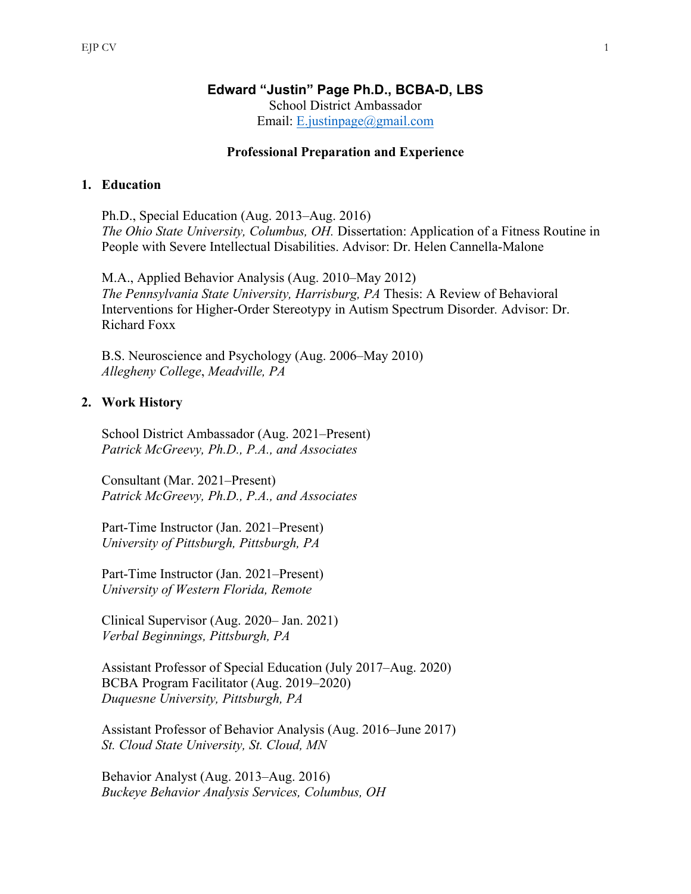# **Edward "Justin" Page Ph.D., BCBA-D, LBS** School District Ambassador Email: E.justinpage@gmail.com

# **Professional Preparation and Experience**

### **1. Education**

Ph.D., Special Education (Aug. 2013–Aug. 2016) *The Ohio State University, Columbus, OH. Dissertation: Application of a Fitness Routine in* People with Severe Intellectual Disabilities. Advisor: Dr. Helen Cannella-Malone

M.A., Applied Behavior Analysis (Aug. 2010–May 2012) *The Pennsylvania State University, Harrisburg, PA* Thesis: A Review of Behavioral Interventions for Higher-Order Stereotypy in Autism Spectrum Disorder*.* Advisor: Dr. Richard Foxx

B.S. Neuroscience and Psychology (Aug. 2006–May 2010) *Allegheny College*, *Meadville, PA*

### **2. Work History**

School District Ambassador (Aug. 2021–Present) *Patrick McGreevy, Ph.D., P.A., and Associates*

Consultant (Mar. 2021–Present) *Patrick McGreevy, Ph.D., P.A., and Associates*

Part-Time Instructor (Jan. 2021–Present) *University of Pittsburgh, Pittsburgh, PA*

Part-Time Instructor (Jan. 2021–Present) *University of Western Florida, Remote*

Clinical Supervisor (Aug. 2020– Jan. 2021) *Verbal Beginnings, Pittsburgh, PA*

Assistant Professor of Special Education (July 2017–Aug. 2020) BCBA Program Facilitator (Aug. 2019–2020) *Duquesne University, Pittsburgh, PA*

Assistant Professor of Behavior Analysis (Aug. 2016–June 2017) *St. Cloud State University, St. Cloud, MN*

Behavior Analyst (Aug. 2013–Aug. 2016) *Buckeye Behavior Analysis Services, Columbus, OH*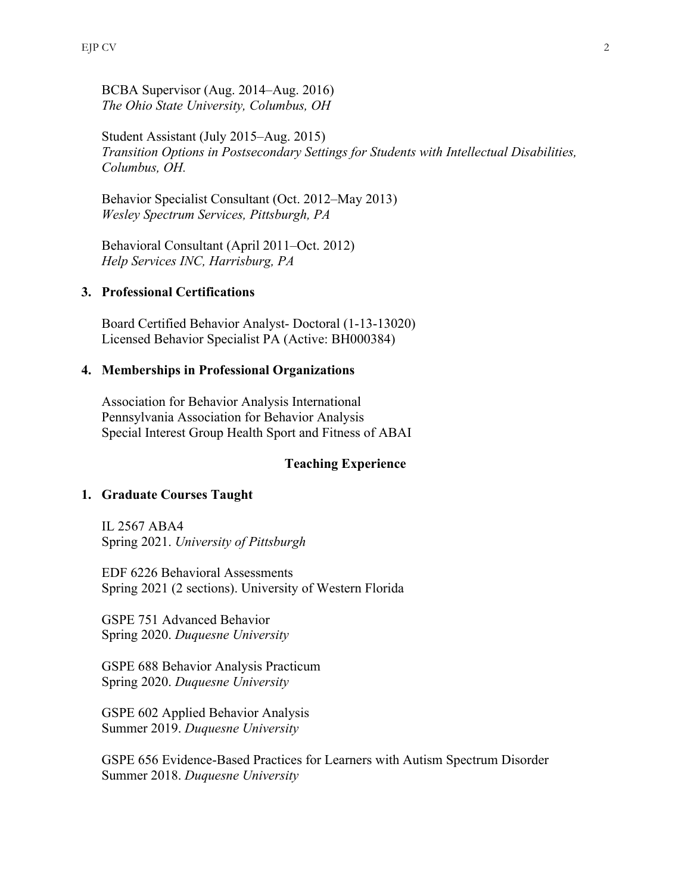BCBA Supervisor (Aug. 2014–Aug. 2016) *The Ohio State University, Columbus, OH*

Student Assistant (July 2015–Aug. 2015) *Transition Options in Postsecondary Settings for Students with Intellectual Disabilities, Columbus, OH.*

Behavior Specialist Consultant (Oct. 2012–May 2013) *Wesley Spectrum Services, Pittsburgh, PA*

Behavioral Consultant (April 2011–Oct. 2012) *Help Services INC, Harrisburg, PA*

# **3. Professional Certifications**

Board Certified Behavior Analyst- Doctoral (1-13-13020) Licensed Behavior Specialist PA (Active: BH000384)

### **4. Memberships in Professional Organizations**

Association for Behavior Analysis International Pennsylvania Association for Behavior Analysis Special Interest Group Health Sport and Fitness of ABAI

#### **Teaching Experience**

#### **1. Graduate Courses Taught**

IL 2567 ABA4 Spring 2021. *University of Pittsburgh*

EDF 6226 Behavioral Assessments Spring 2021 (2 sections). University of Western Florida

GSPE 751 Advanced Behavior Spring 2020. *Duquesne University*

GSPE 688 Behavior Analysis Practicum Spring 2020. *Duquesne University*

GSPE 602 Applied Behavior Analysis Summer 2019. *Duquesne University*

GSPE 656 Evidence-Based Practices for Learners with Autism Spectrum Disorder Summer 2018. *Duquesne University*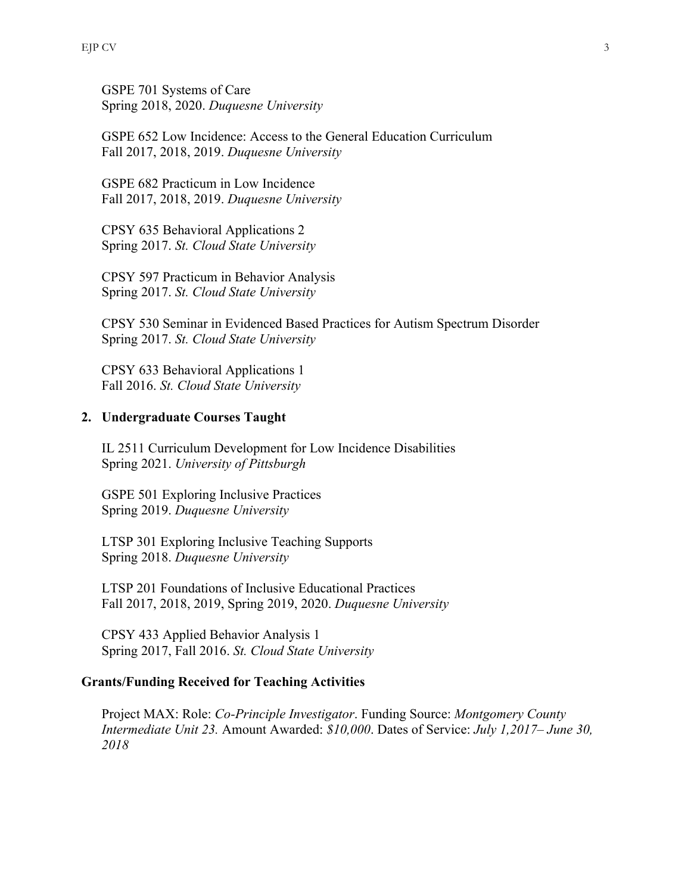GSPE 701 Systems of Care Spring 2018, 2020. *Duquesne University*

GSPE 652 Low Incidence: Access to the General Education Curriculum Fall 2017, 2018, 2019. *Duquesne University*

GSPE 682 Practicum in Low Incidence Fall 2017, 2018, 2019. *Duquesne University*

CPSY 635 Behavioral Applications 2 Spring 2017. *St. Cloud State University*

CPSY 597 Practicum in Behavior Analysis Spring 2017. *St. Cloud State University*

CPSY 530 Seminar in Evidenced Based Practices for Autism Spectrum Disorder Spring 2017. *St. Cloud State University*

CPSY 633 Behavioral Applications 1 Fall 2016. *St. Cloud State University*

## **2. Undergraduate Courses Taught**

IL 2511 Curriculum Development for Low Incidence Disabilities Spring 2021. *University of Pittsburgh*

GSPE 501 Exploring Inclusive Practices Spring 2019. *Duquesne University*

LTSP 301 Exploring Inclusive Teaching Supports Spring 2018. *Duquesne University*

LTSP 201 Foundations of Inclusive Educational Practices Fall 2017, 2018, 2019, Spring 2019, 2020. *Duquesne University*

CPSY 433 Applied Behavior Analysis 1 Spring 2017, Fall 2016. *St. Cloud State University*

### **Grants/Funding Received for Teaching Activities**

Project MAX: Role: *Co-Principle Investigator*. Funding Source: *Montgomery County Intermediate Unit 23.* Amount Awarded: *\$10,000*. Dates of Service: *July 1,2017– June 30, 2018*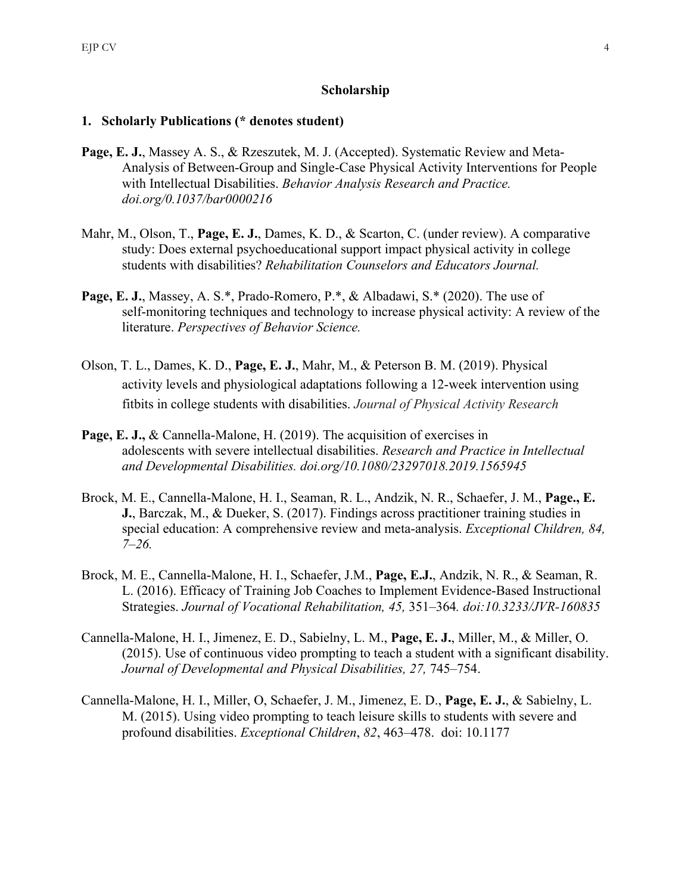# **Scholarship**

# **1. Scholarly Publications (\* denotes student)**

- **Page, E. J.**, Massey A. S., & Rzeszutek, M. J. (Accepted). Systematic Review and Meta-Analysis of Between-Group and Single-Case Physical Activity Interventions for People with Intellectual Disabilities. *Behavior Analysis Research and Practice. doi.org/0.1037/bar0000216*
- Mahr, M., Olson, T., **Page, E. J.**, Dames, K. D., & Scarton, C. (under review). A comparative study: Does external psychoeducational support impact physical activity in college students with disabilities? *Rehabilitation Counselors and Educators Journal.*
- **Page, E. J.**, Massey, A. S.\*, Prado-Romero, P.\*, & Albadawi, S.\* (2020). The use of self-monitoring techniques and technology to increase physical activity: A review of the literature. *Perspectives of Behavior Science.*
- Olson, T. L., Dames, K. D., **Page, E. J.**, Mahr, M., & Peterson B. M. (2019). Physical activity levels and physiological adaptations following a 12-week intervention using fitbits in college students with disabilities. *Journal of Physical Activity Research*
- **Page, E. J., & Cannella-Malone, H. (2019). The acquisition of exercises in** adolescents with severe intellectual disabilities. *Research and Practice in Intellectual and Developmental Disabilities. doi.org/10.1080/23297018.2019.1565945*
- Brock, M. E., Cannella-Malone, H. I., Seaman, R. L., Andzik, N. R., Schaefer, J. M., **Page., E. J.**, Barczak, M., & Dueker, S. (2017). Findings across practitioner training studies in special education: A comprehensive review and meta-analysis. *Exceptional Children, 84, 7–26.*
- Brock, M. E., Cannella-Malone, H. I., Schaefer, J.M., **Page, E.J.**, Andzik, N. R., & Seaman, R. L. (2016). Efficacy of Training Job Coaches to Implement Evidence-Based Instructional Strategies. *Journal of Vocational Rehabilitation, 45,* 351–364*. doi:10.3233/JVR-160835*
- Cannella-Malone, H. I., Jimenez, E. D., Sabielny, L. M., **Page, E. J.**, Miller, M., & Miller, O. (2015). Use of continuous video prompting to teach a student with a significant disability. Journal of Developmental and Physical Disabilities, 27, 745–754.
- Cannella-Malone, H. I., Miller, O, Schaefer, J. M., Jimenez, E. D., **Page, E. J.**, & Sabielny, L. M. (2015). Using video prompting to teach leisure skills to students with severe and profound disabilities. *Exceptional Children*, *82*, 463–478. doi: 10.1177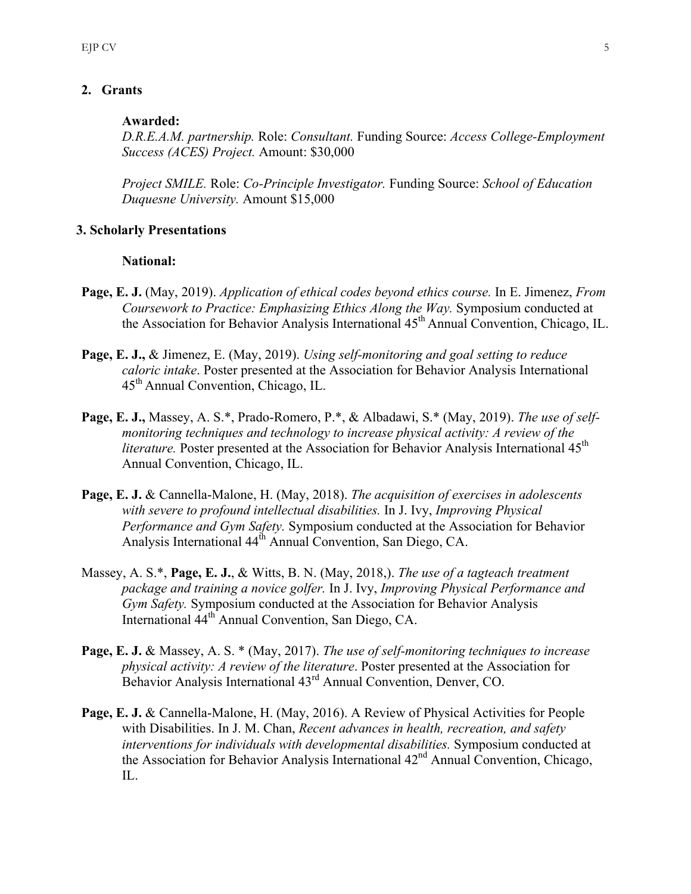# **2. Grants**

### **Awarded:**

*D.R.E.A.M. partnership.* Role: *Consultant.* Funding Source: *Access College-Employment Success (ACES) Project.* Amount: \$30,000

*Project SMILE.* Role: *Co-Principle Investigator.* Funding Source: *School of Education Duquesne University.* Amount \$15,000

# **3. Scholarly Presentations**

## **National:**

- **Page, E. J.** (May, 2019). *Application of ethical codes beyond ethics course.* In E. Jimenez, *From Coursework to Practice: Emphasizing Ethics Along the Way.* Symposium conducted at the Association for Behavior Analysis International 45th Annual Convention, Chicago, IL.
- **Page, E. J.,** & Jimenez, E. (May, 2019). *Using self-monitoring and goal setting to reduce caloric intake*. Poster presented at the Association for Behavior Analysis International 45th Annual Convention, Chicago, IL.
- **Page, E. J.,** Massey, A. S.\*, Prado-Romero, P.\*, & Albadawi, S.\* (May, 2019). *The use of selfmonitoring techniques and technology to increase physical activity: A review of the literature*. Poster presented at the Association for Behavior Analysis International 45<sup>th</sup> Annual Convention, Chicago, IL.
- **Page, E. J.** & Cannella-Malone, H. (May, 2018). *The acquisition of exercises in adolescents with severe to profound intellectual disabilities.* In J. Ivy, *Improving Physical Performance and Gym Safety.* Symposium conducted at the Association for Behavior Analysis International 44<sup>th</sup> Annual Convention, San Diego, CA.
- Massey, A. S.\*, **Page, E. J.**, & Witts, B. N. (May, 2018,). *The use of a tagteach treatment package and training a novice golfer.* In J. Ivy, *Improving Physical Performance and Gym Safety.* Symposium conducted at the Association for Behavior Analysis International 44th Annual Convention, San Diego, CA.
- **Page, E. J.** & Massey, A. S. \* (May, 2017). *The use of self-monitoring techniques to increase physical activity: A review of the literature*. Poster presented at the Association for Behavior Analysis International 43rd Annual Convention, Denver, CO.
- Page, E. J. & Cannella-Malone, H. (May, 2016). A Review of Physical Activities for People with Disabilities. In J. M. Chan, *Recent advances in health, recreation, and safety interventions for individuals with developmental disabilities.* Symposium conducted at the Association for Behavior Analysis International 42<sup>nd</sup> Annual Convention, Chicago, IL.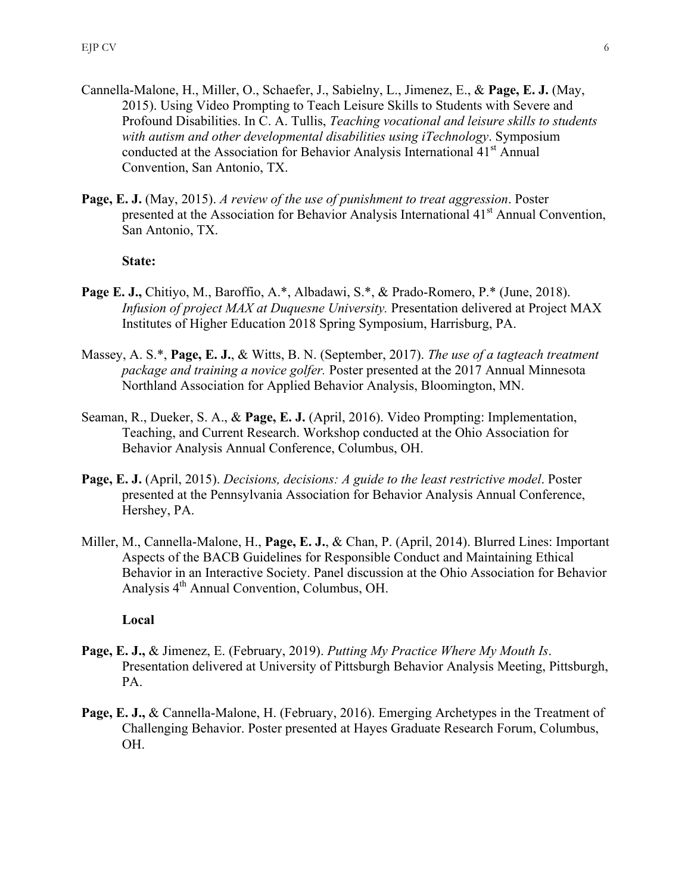- Cannella-Malone, H., Miller, O., Schaefer, J., Sabielny, L., Jimenez, E., & **Page, E. J.** (May, 2015). Using Video Prompting to Teach Leisure Skills to Students with Severe and Profound Disabilities. In C. A. Tullis, *Teaching vocational and leisure skills to students with autism and other developmental disabilities using iTechnology*. Symposium conducted at the Association for Behavior Analysis International 41<sup>st</sup> Annual Convention, San Antonio, TX.
- **Page, E. J.** (May, 2015). *A review of the use of punishment to treat aggression*. Poster presented at the Association for Behavior Analysis International 41<sup>st</sup> Annual Convention, San Antonio, TX.

## **State:**

- **Page E. J.,** Chitiyo, M., Baroffio, A.\*, Albadawi, S.\*, & Prado-Romero, P.\* (June, 2018). *Infusion of project MAX at Duquesne University.* Presentation delivered at Project MAX Institutes of Higher Education 2018 Spring Symposium, Harrisburg, PA.
- Massey, A. S.\*, **Page, E. J.**, & Witts, B. N. (September, 2017). *The use of a tagteach treatment package and training a novice golfer.* Poster presented at the 2017 Annual Minnesota Northland Association for Applied Behavior Analysis, Bloomington, MN.
- Seaman, R., Dueker, S. A., & **Page, E. J.** (April, 2016). Video Prompting: Implementation, Teaching, and Current Research. Workshop conducted at the Ohio Association for Behavior Analysis Annual Conference, Columbus, OH.
- **Page, E. J.** (April, 2015). *Decisions, decisions: A guide to the least restrictive model*. Poster presented at the Pennsylvania Association for Behavior Analysis Annual Conference, Hershey, PA.
- Miller, M., Cannella-Malone, H., **Page, E. J.**, & Chan, P. (April, 2014). Blurred Lines: Important Aspects of the BACB Guidelines for Responsible Conduct and Maintaining Ethical Behavior in an Interactive Society. Panel discussion at the Ohio Association for Behavior Analysis 4th Annual Convention, Columbus, OH.

### **Local**

- **Page, E. J.,** & Jimenez, E. (February, 2019). *Putting My Practice Where My Mouth Is*. Presentation delivered at University of Pittsburgh Behavior Analysis Meeting, Pittsburgh, PA.
- **Page, E. J.,** & Cannella-Malone, H. (February, 2016). Emerging Archetypes in the Treatment of Challenging Behavior. Poster presented at Hayes Graduate Research Forum, Columbus, OH.